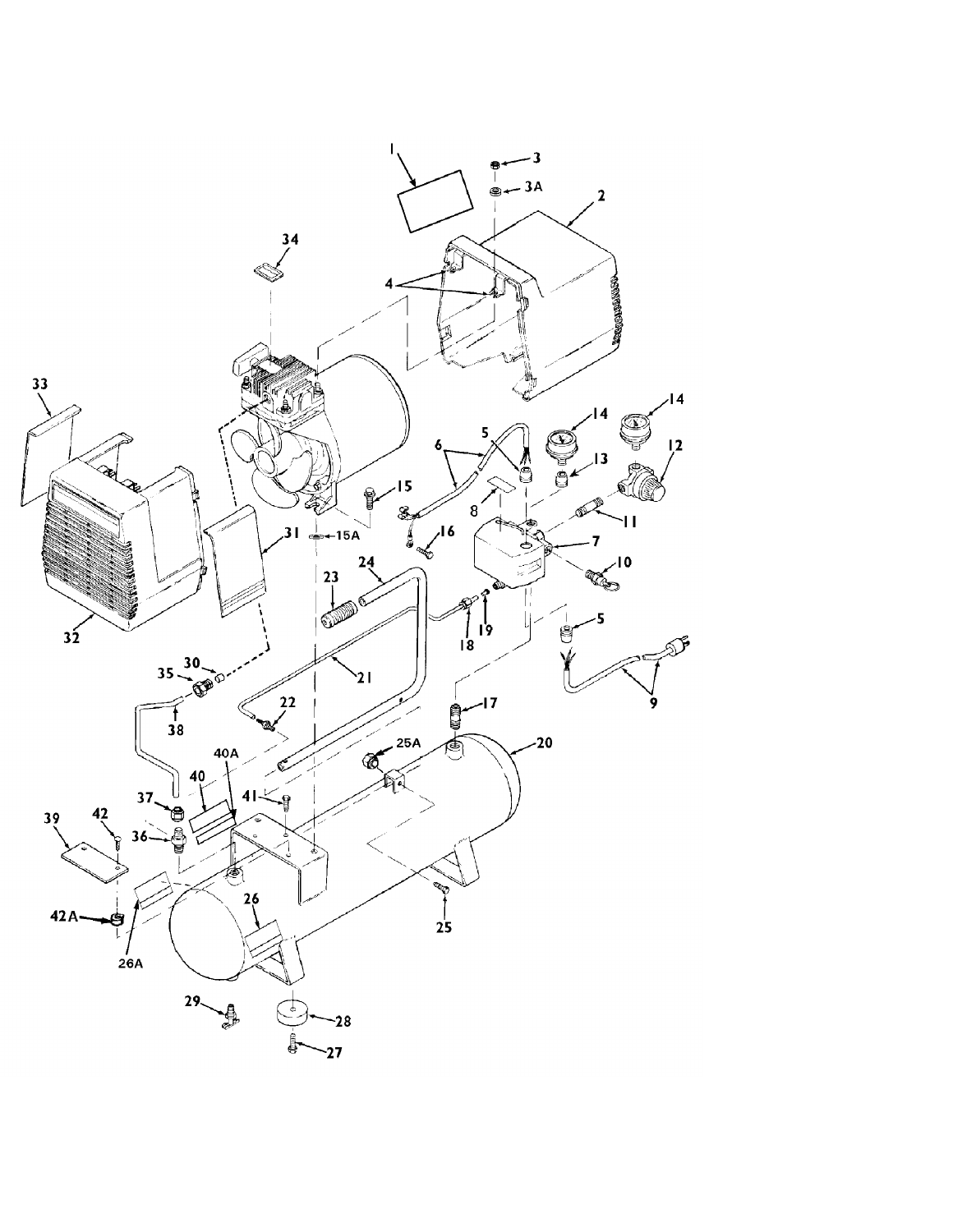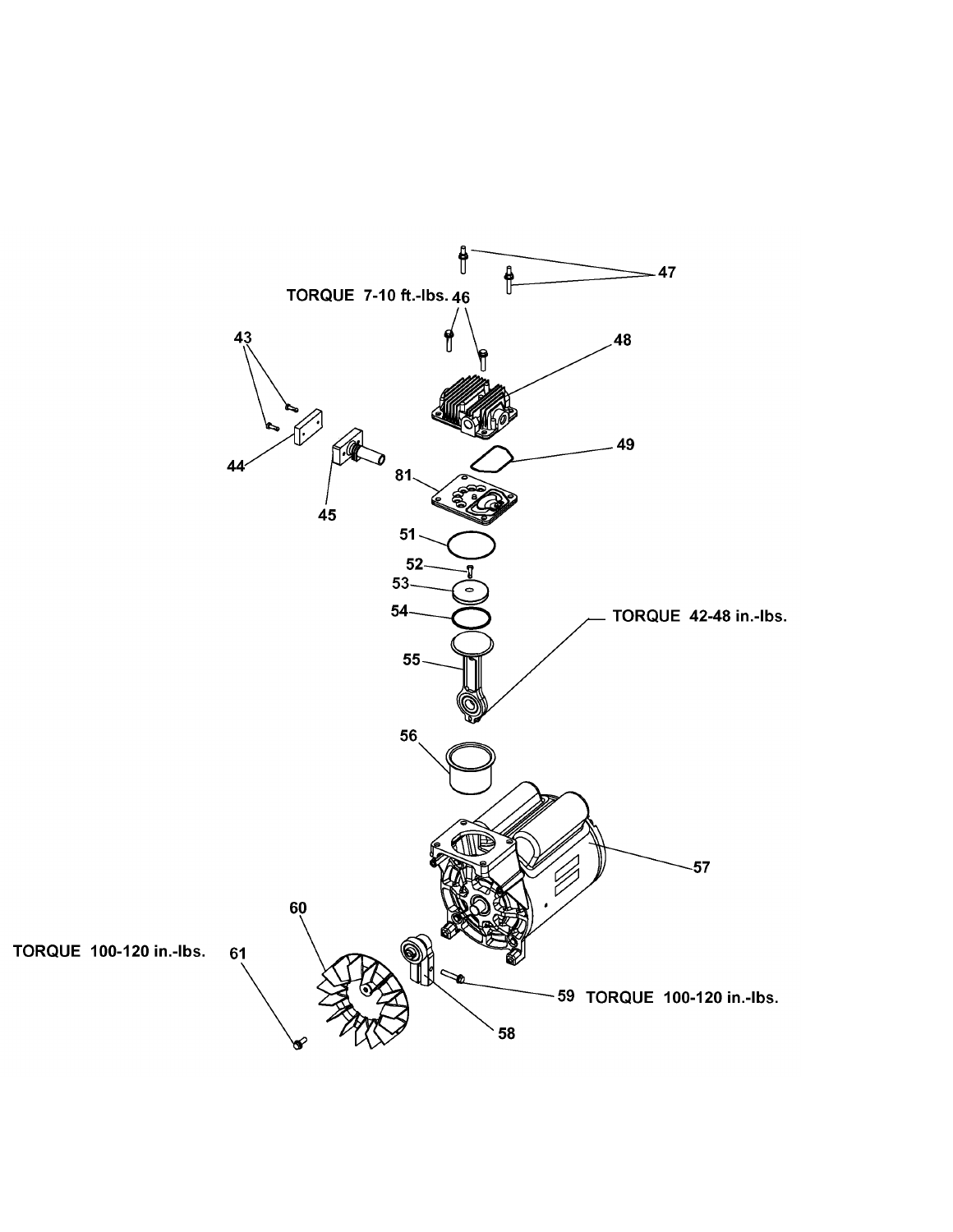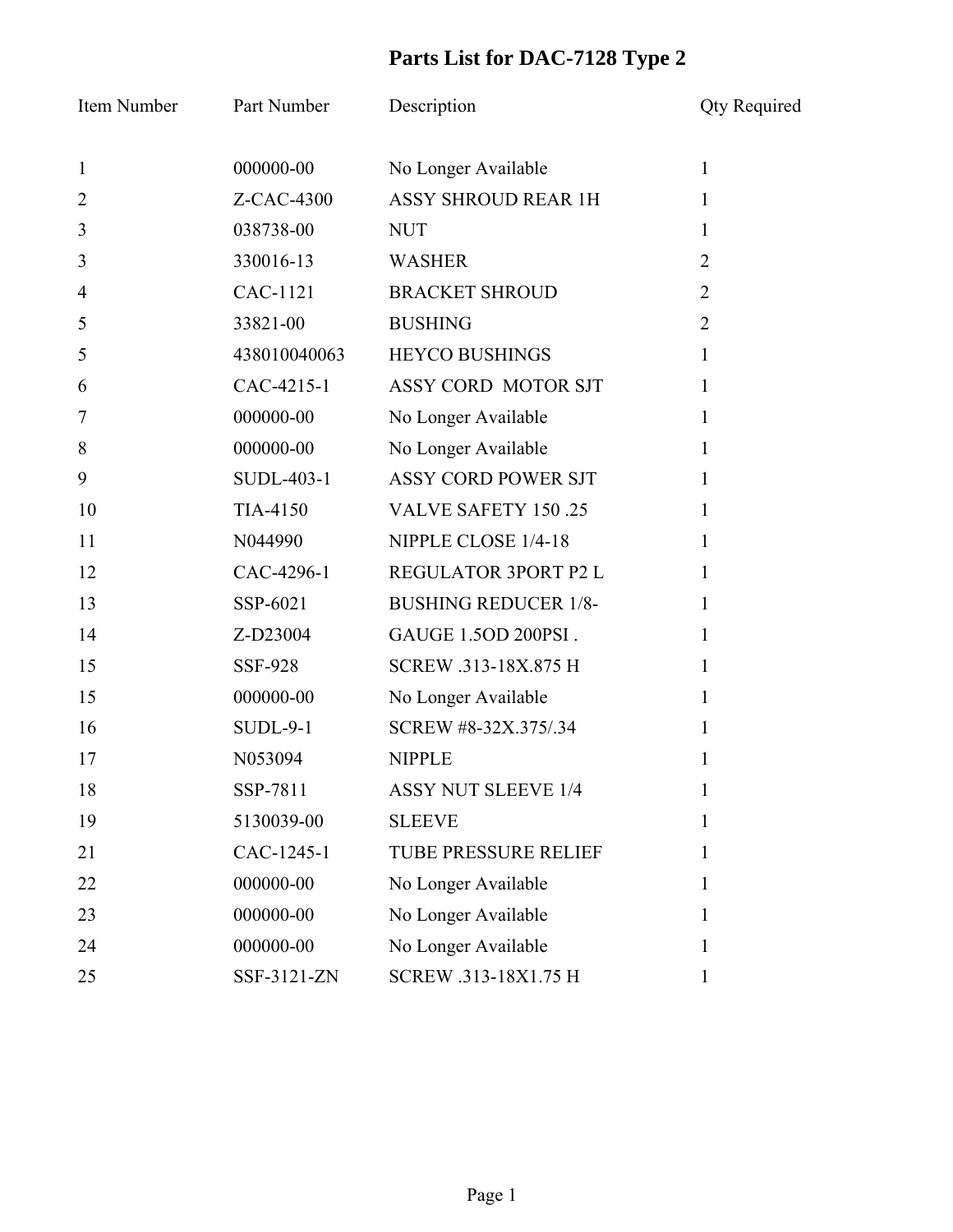## **Parts List for DAC-7128 Type 2**

| Item Number    | Part Number    | Description                 | <b>Qty Required</b> |
|----------------|----------------|-----------------------------|---------------------|
| $\mathbf{1}$   | 000000-00      | No Longer Available         | $\mathbf{1}$        |
| $\overline{2}$ | Z-CAC-4300     | <b>ASSY SHROUD REAR 1H</b>  | 1                   |
| 3              | 038738-00      | <b>NUT</b>                  | $\mathbf{1}$        |
| 3              | 330016-13      | <b>WASHER</b>               | $\overline{2}$      |
| $\overline{4}$ | CAC-1121       | <b>BRACKET SHROUD</b>       | $\overline{2}$      |
| 5              | 33821-00       | <b>BUSHING</b>              | $\overline{2}$      |
| 5              | 438010040063   | <b>HEYCO BUSHINGS</b>       | $\mathbf{1}$        |
| 6              | CAC-4215-1     | ASSY CORD MOTOR SJT         | $\mathbf{1}$        |
| 7              | 000000-00      | No Longer Available         | $\mathbf{1}$        |
| 8              | 000000-00      | No Longer Available         | $\mathbf{1}$        |
| 9              | SUDL-403-1     | <b>ASSY CORD POWER SJT</b>  | 1                   |
| 10             | TIA-4150       | <b>VALVE SAFETY 150.25</b>  | 1                   |
| 11             | N044990        | NIPPLE CLOSE 1/4-18         | $\mathbf{1}$        |
| 12             | CAC-4296-1     | REGULATOR 3PORT P2 L        | 1                   |
| 13             | SSP-6021       | <b>BUSHING REDUCER 1/8-</b> | 1                   |
| 14             | Z-D23004       | GAUGE 1.5OD 200PSI.         | $\mathbf{1}$        |
| 15             | <b>SSF-928</b> | SCREW .313-18X.875 H        | $\mathbf{1}$        |
| 15             | 000000-00      | No Longer Available         | $\mathbf{1}$        |
| 16             | $SUBL-9-1$     | SCREW #8-32X.375/.34        | $\mathbf{1}$        |
| 17             | N053094        | <b>NIPPLE</b>               | 1                   |
| 18             | SSP-7811       | <b>ASSY NUT SLEEVE 1/4</b>  | $\mathbf{I}$        |
| 19             | 5130039-00     | <b>SLEEVE</b>               | $\mathbf{1}$        |
| 21             | CAC-1245-1     | TUBE PRESSURE RELIEF        | 1                   |
| 22             | 000000-00      | No Longer Available         | 1                   |
| 23             | 000000-00      | No Longer Available         | 1                   |
| 24             | 000000-00      | No Longer Available         | 1                   |
| 25             | SSF-3121-ZN    | SCREW .313-18X1.75 H        | 1                   |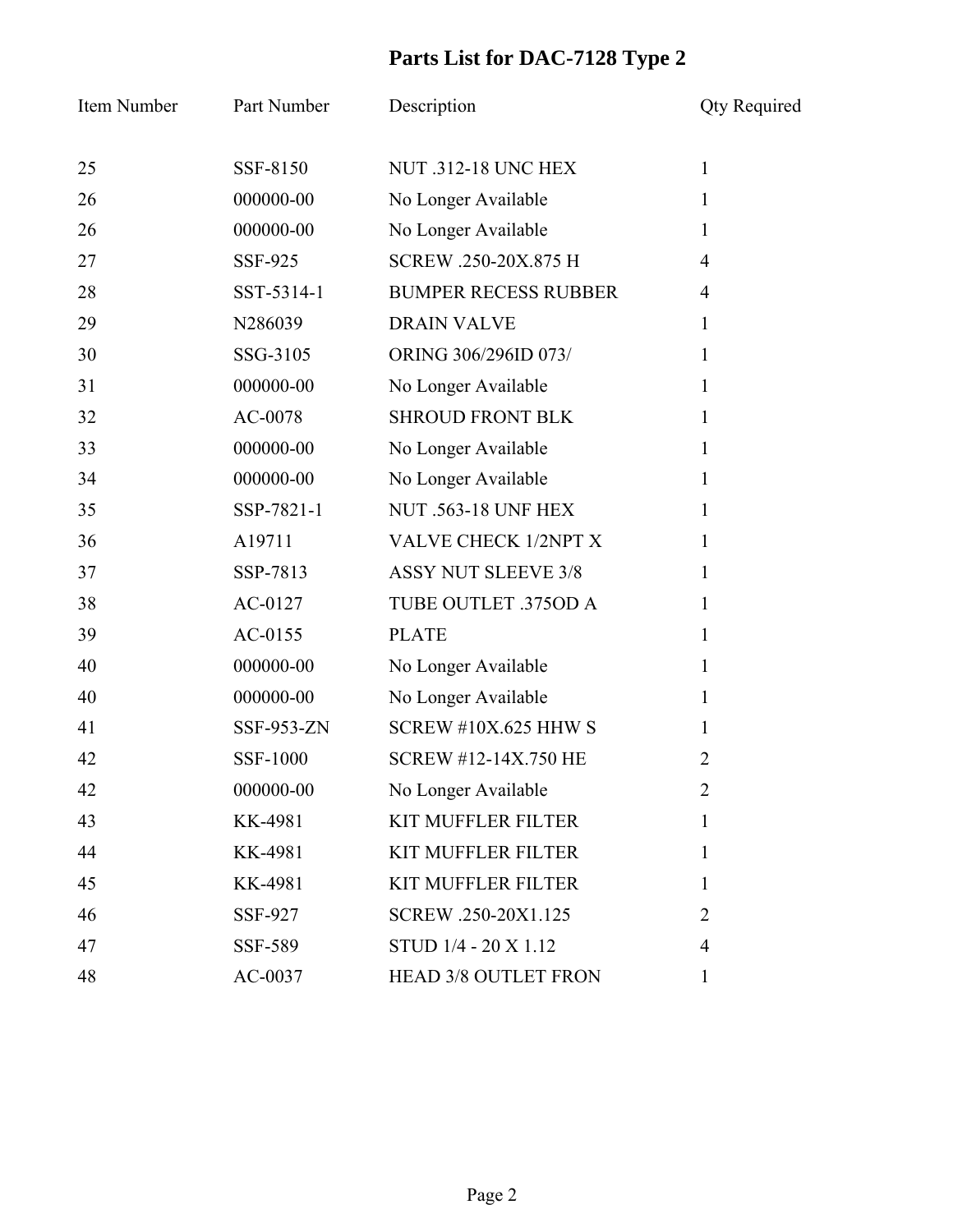## **Parts List for DAC-7128 Type 2**

| Item Number | Part Number     | Description                 | <b>Qty Required</b> |
|-------------|-----------------|-----------------------------|---------------------|
| 25          | SSF-8150        | <b>NUT .312-18 UNC HEX</b>  | $\mathbf{1}$        |
| 26          | 000000-00       | No Longer Available         | $\mathbf{1}$        |
| 26          | 000000-00       | No Longer Available         | $\mathbf{1}$        |
| 27          | <b>SSF-925</b>  | SCREW .250-20X.875 H        | $\overline{4}$      |
| 28          | SST-5314-1      | <b>BUMPER RECESS RUBBER</b> | 4                   |
| 29          | N286039         | <b>DRAIN VALVE</b>          | $\mathbf{1}$        |
| 30          | SSG-3105        | ORING 306/296ID 073/        | $\mathbf{1}$        |
| 31          | 000000-00       | No Longer Available         | $\mathbf{1}$        |
| 32          | AC-0078         | <b>SHROUD FRONT BLK</b>     | $\mathbf{1}$        |
| 33          | 000000-00       | No Longer Available         | $\mathbf{1}$        |
| 34          | 000000-00       | No Longer Available         | 1                   |
| 35          | SSP-7821-1      | <b>NUT .563-18 UNF HEX</b>  | 1                   |
| 36          | A19711          | VALVE CHECK 1/2NPT X        | 1                   |
| 37          | SSP-7813        | <b>ASSY NUT SLEEVE 3/8</b>  | 1                   |
| 38          | AC-0127         | TUBE OUTLET .375OD A        | 1                   |
| 39          | AC-0155         | <b>PLATE</b>                | 1                   |
| 40          | 000000-00       | No Longer Available         | 1                   |
| 40          | 000000-00       | No Longer Available         | $\mathbf{1}$        |
| 41          | $SSF-953-ZN$    | <b>SCREW #10X.625 HHW S</b> | 1                   |
| 42          | <b>SSF-1000</b> | SCREW #12-14X.750 HE        | 2                   |
| 42          | 000000-00       | No Longer Available         | 2                   |
| 43          | KK-4981         | <b>KIT MUFFLER FILTER</b>   | $\mathbf{1}$        |
| 44          | KK-4981         | <b>KIT MUFFLER FILTER</b>   | 1                   |
| 45          | KK-4981         | <b>KIT MUFFLER FILTER</b>   | 1                   |
| 46          | <b>SSF-927</b>  | SCREW .250-20X1.125         | 2                   |
| 47          | SSF-589         | STUD 1/4 - 20 X 1.12        | $\overline{4}$      |
| 48          | AC-0037         | <b>HEAD 3/8 OUTLET FRON</b> | $\mathbf{1}$        |